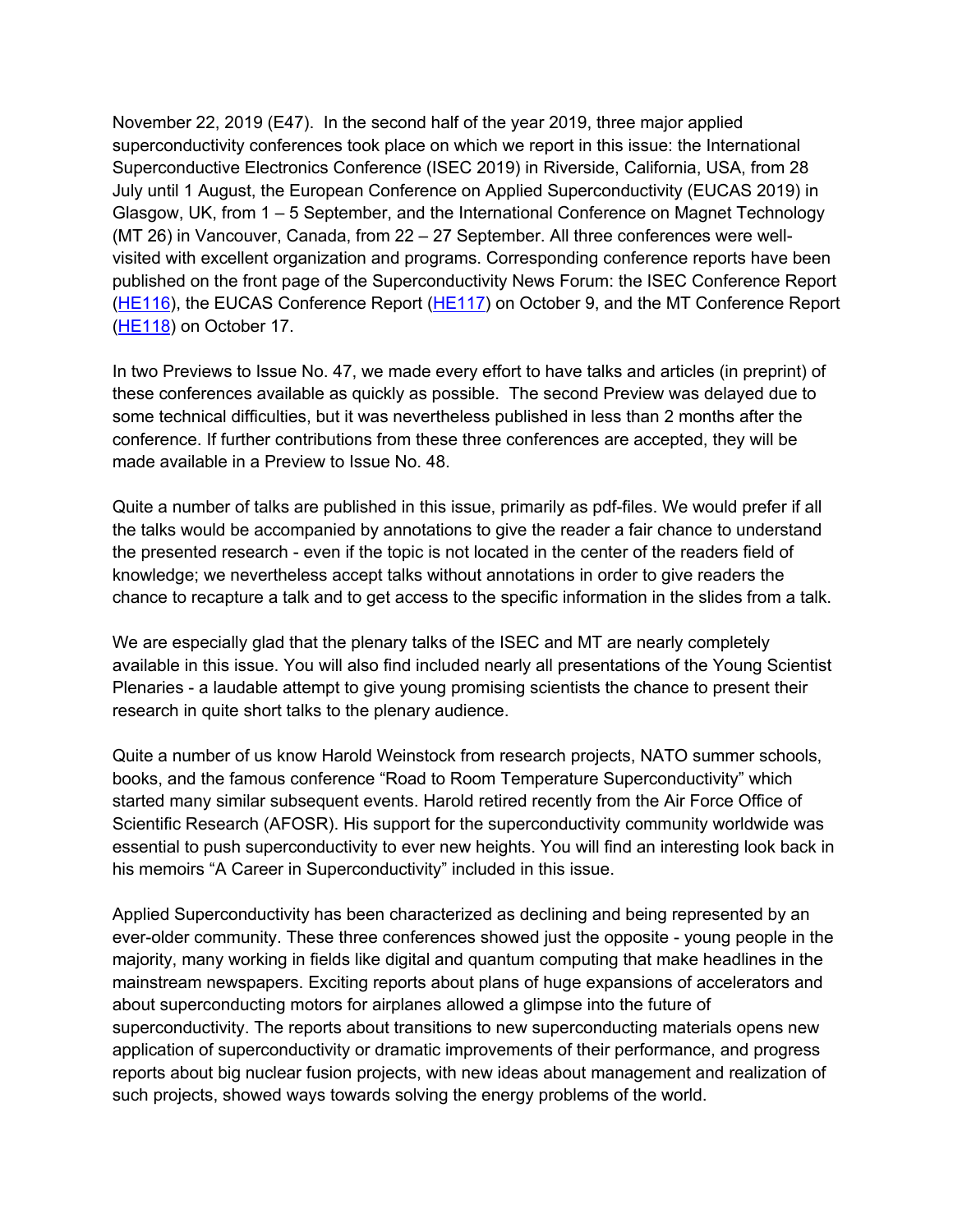November 22, 2019 (E47). In the second half of the year 2019, three major applied superconductivity conferences took place on which we report in this issue: the International Superconductive Electronics Conference (ISEC 2019) in Riverside, California, USA, from 28 July until 1 August, the European Conference on Applied Superconductivity (EUCAS 2019) in Glasgow, UK, from 1 – 5 September, and the International Conference on Magnet Technology (MT 26) in Vancouver, Canada, from 22 – 27 September. All three conferences were wellvisited with excellent organization and programs. Corresponding conference reports have been published on the front page of the Superconductivity News Forum: the ISEC Conference Report [\(HE116](https://snf.ieeecsc.org/sites/ieeecsc.org/files/documents/HEs/HE116 17th International Superconductive Electronics Conference ISEC2019.pdf)), the EUCAS Conference Report [\(HE117](https://snf.ieeecsc.org/sites/ieeecsc.org/files/documents/HEs/HE117  EUCAS2019.pdf)) on October 9, and the MT Conference Report [\(HE118](https://snf.ieeecsc.org/sites/ieeecsc.org/files/images/photos/posts/HE/HE118 MT26-Summary.pdf)) on October 17.

In two Previews to Issue No. 47, we made every effort to have talks and articles (in preprint) of these conferences available as quickly as possible. The second Preview was delayed due to some technical difficulties, but it was nevertheless published in less than 2 months after the conference. If further contributions from these three conferences are accepted, they will be made available in a Preview to Issue No. 48.

Quite a number of talks are published in this issue, primarily as pdf-files. We would prefer if all the talks would be accompanied by annotations to give the reader a fair chance to understand the presented research - even if the topic is not located in the center of the readers field of knowledge; we nevertheless accept talks without annotations in order to give readers the chance to recapture a talk and to get access to the specific information in the slides from a talk.

We are especially glad that the plenary talks of the ISEC and MT are nearly completely available in this issue. You will also find included nearly all presentations of the Young Scientist Plenaries - a laudable attempt to give young promising scientists the chance to present their research in quite short talks to the plenary audience.

Quite a number of us know Harold Weinstock from research projects, NATO summer schools, books, and the famous conference "Road to Room Temperature Superconductivity" which started many similar subsequent events. Harold retired recently from the Air Force Office of Scientific Research (AFOSR). His support for the superconductivity community worldwide was essential to push superconductivity to ever new heights. You will find an interesting look back in his memoirs "A Career in Superconductivity" included in this issue.

Applied Superconductivity has been characterized as declining and being represented by an ever-older community. These three conferences showed just the opposite - young people in the majority, many working in fields like digital and quantum computing that make headlines in the mainstream newspapers. Exciting reports about plans of huge expansions of accelerators and about superconducting motors for airplanes allowed a glimpse into the future of superconductivity. The reports about transitions to new superconducting materials opens new application of superconductivity or dramatic improvements of their performance, and progress reports about big nuclear fusion projects, with new ideas about management and realization of such projects, showed ways towards solving the energy problems of the world.